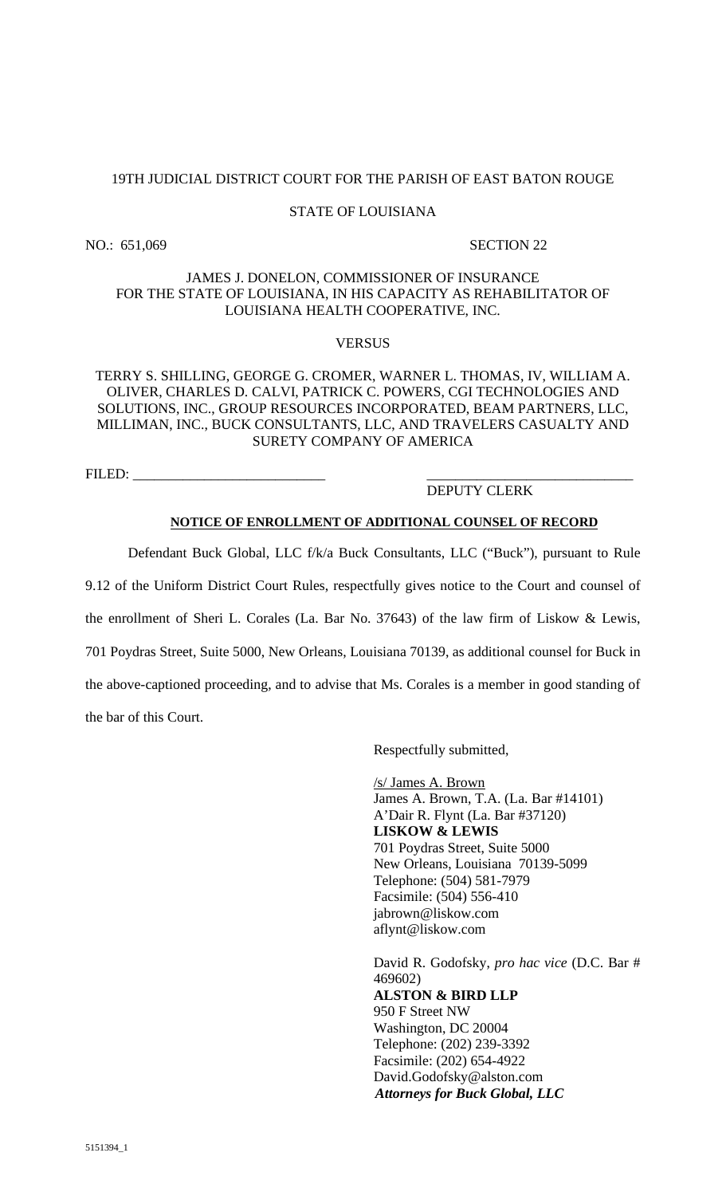# 19TH JUDICIAL DISTRICT COURT FOR THE PARISH OF EAST BATON ROUGE

# STATE OF LOUISIANA

NO.: 651,069 SECTION 22

# JAMES J. DONELON, COMMISSIONER OF INSURANCE FOR THE STATE OF LOUISIANA, IN HIS CAPACITY AS REHABILITATOR OF LOUISIANA HEALTH COOPERATIVE, INC.

### **VERSUS**

# TERRY S. SHILLING, GEORGE G. CROMER, WARNER L. THOMAS, IV, WILLIAM A. OLIVER, CHARLES D. CALVI, PATRICK C. POWERS, CGI TECHNOLOGIES AND SOLUTIONS, INC., GROUP RESOURCES INCORPORATED, BEAM PARTNERS, LLC, MILLIMAN, INC., BUCK CONSULTANTS, LLC, AND TRAVELERS CASUALTY AND SURETY COMPANY OF AMERICA

FILED:

# DEPUTY CLERK

#### **NOTICE OF ENROLLMENT OF ADDITIONAL COUNSEL OF RECORD**

Defendant Buck Global, LLC f/k/a Buck Consultants, LLC ("Buck"), pursuant to Rule

9.12 of the Uniform District Court Rules, respectfully gives notice to the Court and counsel of

the enrollment of Sheri L. Corales (La. Bar No. 37643) of the law firm of Liskow & Lewis,

701 Poydras Street, Suite 5000, New Orleans, Louisiana 70139, as additional counsel for Buck in

the above-captioned proceeding, and to advise that Ms. Corales is a member in good standing of the bar of this Court.

Respectfully submitted,

/s/ James A. Brown James A. Brown, T.A. (La. Bar #14101) A'Dair R. Flynt (La. Bar #37120) **LISKOW & LEWIS**  701 Poydras Street, Suite 5000 New Orleans, Louisiana 70139-5099 Telephone: (504) 581-7979 Facsimile: (504) 556-410 jabrown@liskow.com aflynt@liskow.com

David R. Godofsky, *pro hac vice* (D.C. Bar # 469602) **ALSTON & BIRD LLP**  950 F Street NW Washington, DC 20004 Telephone: (202) 239-3392 Facsimile: (202) 654-4922 David.Godofsky@alston.com *Attorneys for Buck Global, LLC*